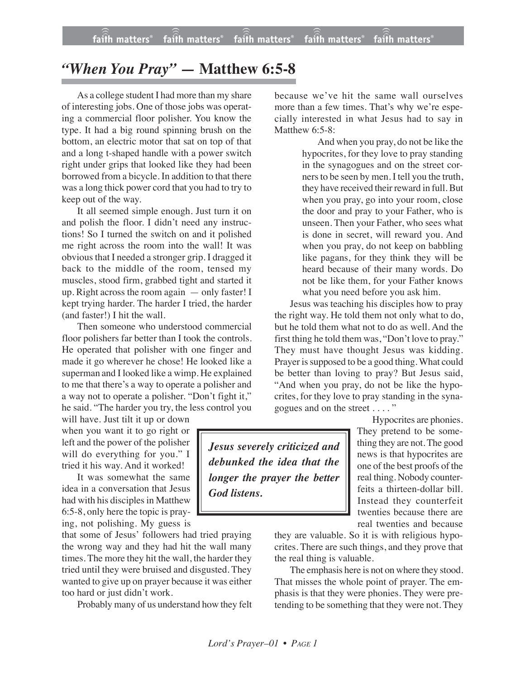## *"When You Pray" —* **Matthew 6:5-8**

As a college student I had more than my share of interesting jobs. One of those jobs was operating a commercial floor polisher. You know the type. It had a big round spinning brush on the bottom, an electric motor that sat on top of that and a long t-shaped handle with a power switch right under grips that looked like they had been borrowed from a bicycle. In addition to that there was a long thick power cord that you had to try to keep out of the way.

It all seemed simple enough. Just turn it on and polish the floor. I didn't need any instructions! So I turned the switch on and it polished me right across the room into the wall! It was obvious that I needed a stronger grip. I dragged it back to the middle of the room, tensed my muscles, stood firm, grabbed tight and started it up. Right across the room again — only faster! I kept trying harder. The harder I tried, the harder (and faster!) I hit the wall.

Then someone who understood commercial floor polishers far better than I took the controls. He operated that polisher with one finger and made it go wherever he chose! He looked like a superman and I looked like a wimp. He explained to me that there's a way to operate a polisher and a way not to operate a polisher. "Don't fight it," he said. "The harder you try, the less control you

will have. Just tilt it up or down when you want it to go right or left and the power of the polisher will do everything for you." I tried it his way. And it worked!

It was somewhat the same idea in a conversation that Jesus had with his disciples in Matthew 6:5-8, only here the topic is praying, not polishing. My guess is

that some of Jesus' followers had tried praying the wrong way and they had hit the wall many times. The more they hit the wall, the harder they tried until they were bruised and disgusted. They wanted to give up on prayer because it was either too hard or just didn't work.

Probably many of us understand how they felt

because we've hit the same wall ourselves more than a few times. That's why we're especially interested in what Jesus had to say in Matthew 6:5-8:

> And when you pray, do not be like the hypocrites, for they love to pray standing in the synagogues and on the street corners to be seen by men. I tell you the truth, they have received their reward in full. But when you pray, go into your room, close the door and pray to your Father, who is unseen. Then your Father, who sees what is done in secret, will reward you. And when you pray, do not keep on babbling like pagans, for they think they will be heard because of their many words. Do not be like them, for your Father knows what you need before you ask him.

Jesus was teaching his disciples how to pray the right way. He told them not only what to do, but he told them what not to do as well. And the first thing he told them was, "Don't love to pray." They must have thought Jesus was kidding. Prayer is supposed to be a good thing. What could be better than loving to pray? But Jesus said, "And when you pray, do not be like the hypocrites, for they love to pray standing in the synagogues and on the street . . . . "

> Hypocrites are phonies. They pretend to be something they are not. The good news is that hypocrites are one of the best proofs of the real thing. Nobody counterfeits a thirteen-dollar bill. Instead they counterfeit twenties because there are

real twenties and because they are valuable. So it is with religious hypocrites. There are such things, and they prove that the real thing is valuable.

The emphasis here is not on where they stood. That misses the whole point of prayer. The emphasis is that they were phonies. They were pretending to be something that they were not. They

*Jesus severely criticized and debunked the idea that the longer the prayer the better God listens.*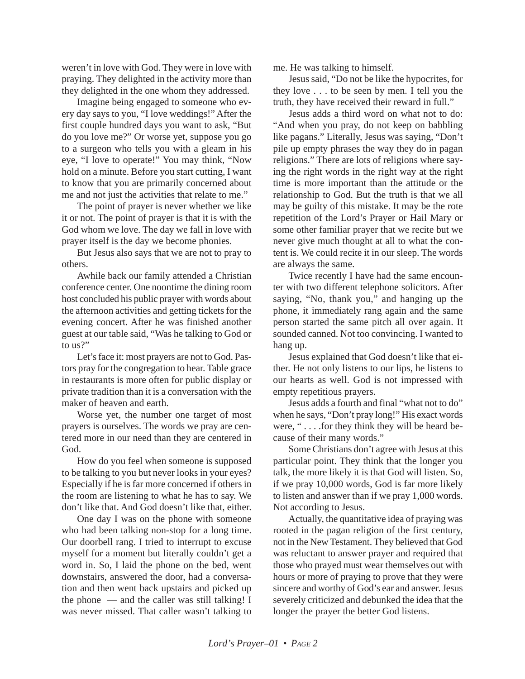weren't in love with God. They were in love with praying. They delighted in the activity more than they delighted in the one whom they addressed.

Imagine being engaged to someone who every day says to you, "I love weddings!" After the first couple hundred days you want to ask, "But do you love me?" Or worse yet, suppose you go to a surgeon who tells you with a gleam in his eye, "I love to operate!" You may think, "Now hold on a minute. Before you start cutting, I want to know that you are primarily concerned about me and not just the activities that relate to me."

The point of prayer is never whether we like it or not. The point of prayer is that it is with the God whom we love. The day we fall in love with prayer itself is the day we become phonies.

But Jesus also says that we are not to pray to others.

Awhile back our family attended a Christian conference center. One noontime the dining room host concluded his public prayer with words about the afternoon activities and getting tickets for the evening concert. After he was finished another guest at our table said, "Was he talking to God or to us?"

Let's face it: most prayers are not to God. Pastors pray for the congregation to hear. Table grace in restaurants is more often for public display or private tradition than it is a conversation with the maker of heaven and earth.

Worse yet, the number one target of most prayers is ourselves. The words we pray are centered more in our need than they are centered in God.

How do you feel when someone is supposed to be talking to you but never looks in your eyes? Especially if he is far more concerned if others in the room are listening to what he has to say. We don't like that. And God doesn't like that, either.

One day I was on the phone with someone who had been talking non-stop for a long time. Our doorbell rang. I tried to interrupt to excuse myself for a moment but literally couldn't get a word in. So, I laid the phone on the bed, went downstairs, answered the door, had a conversation and then went back upstairs and picked up the phone — and the caller was still talking! I was never missed. That caller wasn't talking to me. He was talking to himself.

Jesus said, "Do not be like the hypocrites, for they love . . . to be seen by men. I tell you the truth, they have received their reward in full."

Jesus adds a third word on what not to do: "And when you pray, do not keep on babbling like pagans." Literally, Jesus was saying, "Don't pile up empty phrases the way they do in pagan religions." There are lots of religions where saying the right words in the right way at the right time is more important than the attitude or the relationship to God. But the truth is that we all may be guilty of this mistake. It may be the rote repetition of the Lord's Prayer or Hail Mary or some other familiar prayer that we recite but we never give much thought at all to what the content is. We could recite it in our sleep. The words are always the same.

Twice recently I have had the same encounter with two different telephone solicitors. After saying, "No, thank you," and hanging up the phone, it immediately rang again and the same person started the same pitch all over again. It sounded canned. Not too convincing. I wanted to hang up.

Jesus explained that God doesn't like that either. He not only listens to our lips, he listens to our hearts as well. God is not impressed with empty repetitious prayers.

Jesus adds a fourth and final "what not to do" when he says, "Don't pray long!" His exact words were, "... .for they think they will be heard because of their many words."

Some Christians don't agree with Jesus at this particular point. They think that the longer you talk, the more likely it is that God will listen. So, if we pray 10,000 words, God is far more likely to listen and answer than if we pray 1,000 words. Not according to Jesus.

Actually, the quantitative idea of praying was rooted in the pagan religion of the first century, not in the New Testament. They believed that God was reluctant to answer prayer and required that those who prayed must wear themselves out with hours or more of praying to prove that they were sincere and worthy of God's ear and answer. Jesus severely criticized and debunked the idea that the longer the prayer the better God listens.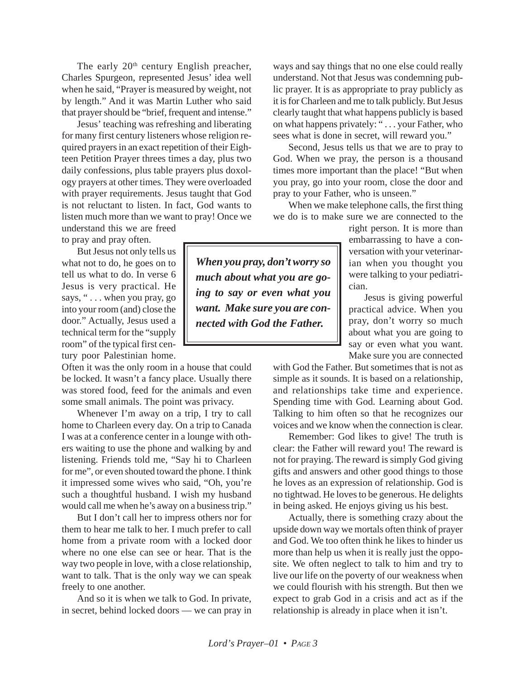The early 20<sup>th</sup> century English preacher, Charles Spurgeon, represented Jesus' idea well when he said, "Prayer is measured by weight, not by length." And it was Martin Luther who said that prayer should be "brief, frequent and intense."

Jesus' teaching was refreshing and liberating for many first century listeners whose religion required prayers in an exact repetition of their Eighteen Petition Prayer threes times a day, plus two daily confessions, plus table prayers plus doxology prayers at other times. They were overloaded with prayer requirements. Jesus taught that God is not reluctant to listen. In fact, God wants to listen much more than we want to pray! Once we understand this we are freed

to pray and pray often.

But Jesus not only tells us what not to do, he goes on to tell us what to do. In verse 6 Jesus is very practical. He says, " . . . when you pray, go into your room (and) close the door." Actually, Jesus used a technical term for the "supply room" of the typical first century poor Palestinian home.

Often it was the only room in a house that could be locked. It wasn't a fancy place. Usually there was stored food, feed for the animals and even some small animals. The point was privacy.

Whenever I'm away on a trip, I try to call home to Charleen every day. On a trip to Canada I was at a conference center in a lounge with others waiting to use the phone and walking by and listening. Friends told me, "Say hi to Charleen for me", or even shouted toward the phone. I think it impressed some wives who said, "Oh, you're such a thoughtful husband. I wish my husband would call me when he's away on a business trip."

But I don't call her to impress others nor for them to hear me talk to her. I much prefer to call home from a private room with a locked door where no one else can see or hear. That is the way two people in love, with a close relationship, want to talk. That is the only way we can speak freely to one another.

And so it is when we talk to God. In private, in secret, behind locked doors — we can pray in ways and say things that no one else could really understand. Not that Jesus was condemning public prayer. It is as appropriate to pray publicly as it is for Charleen and me to talk publicly. But Jesus clearly taught that what happens publicly is based on what happens privately: " . . . your Father, who sees what is done in secret, will reward you."

Second, Jesus tells us that we are to pray to God. When we pray, the person is a thousand times more important than the place! "But when you pray, go into your room, close the door and pray to your Father, who is unseen."

When we make telephone calls, the first thing we do is to make sure we are connected to the

> right person. It is more than embarrassing to have a conversation with your veterinarian when you thought you were talking to your pediatrician.

> Jesus is giving powerful practical advice. When you pray, don't worry so much about what you are going to say or even what you want. Make sure you are connected

with God the Father. But sometimes that is not as simple as it sounds. It is based on a relationship, and relationships take time and experience. Spending time with God. Learning about God. Talking to him often so that he recognizes our voices and we know when the connection is clear.

Remember: God likes to give! The truth is clear: the Father will reward you! The reward is not for praying. The reward is simply God giving gifts and answers and other good things to those he loves as an expression of relationship. God is no tightwad. He loves to be generous. He delights in being asked. He enjoys giving us his best.

Actually, there is something crazy about the upside down way we mortals often think of prayer and God. We too often think he likes to hinder us more than help us when it is really just the opposite. We often neglect to talk to him and try to live our life on the poverty of our weakness when we could flourish with his strength. But then we expect to grab God in a crisis and act as if the relationship is already in place when it isn't.

*When you pray, don't worry so much about what you are going to say or even what you want. Make sure you are connected with God the Father.*